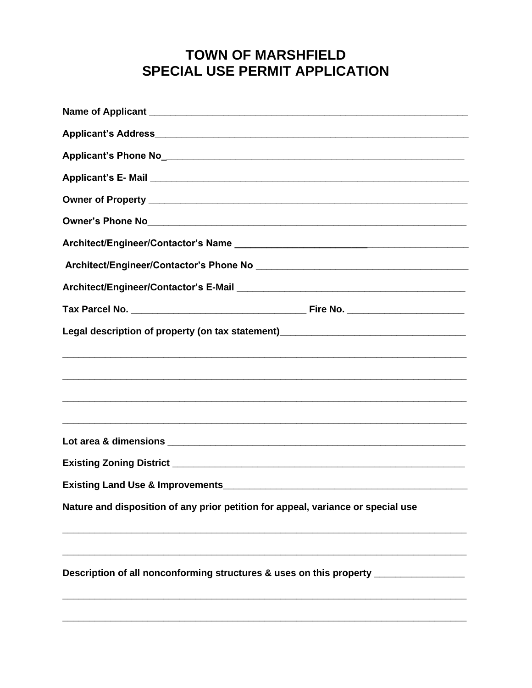## **TOWN OF MARSHFIELD SPECIAL USE PERMIT APPLICATION**

| Legal description of property (on tax statement)________________________________ |  |  |
|----------------------------------------------------------------------------------|--|--|
|                                                                                  |  |  |
|                                                                                  |  |  |
|                                                                                  |  |  |
|                                                                                  |  |  |
| Nature and disposition of any prior petition for appeal, variance or special use |  |  |
| Description of all nonconforming structures & uses on this property ____________ |  |  |
|                                                                                  |  |  |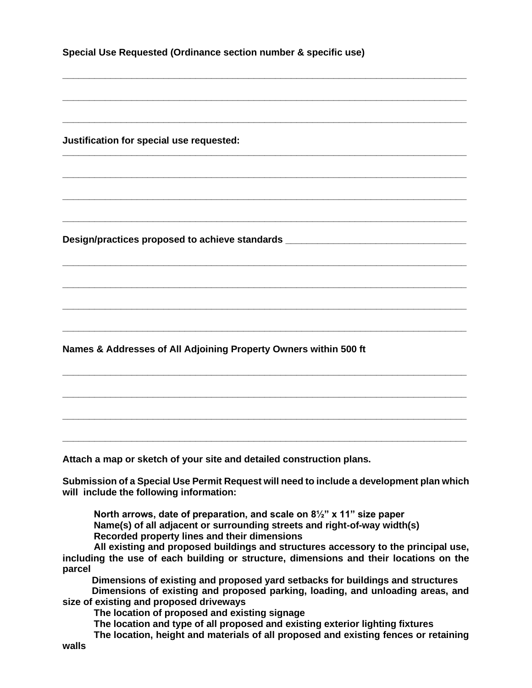**Special Use Requested (Ordinance section number & specific use)** 

**\_\_\_\_\_\_\_\_\_\_\_\_\_\_\_\_\_\_\_\_\_\_\_\_\_\_\_\_\_\_\_\_\_\_\_\_\_\_\_\_\_\_\_\_\_\_\_\_\_\_\_\_\_\_\_\_\_\_\_\_\_\_\_\_\_\_\_\_\_\_\_\_\_\_\_\_**

**\_\_\_\_\_\_\_\_\_\_\_\_\_\_\_\_\_\_\_\_\_\_\_\_\_\_\_\_\_\_\_\_\_\_\_\_\_\_\_\_\_\_\_\_\_\_\_\_\_\_\_\_\_\_\_\_\_\_\_\_\_\_\_\_\_\_\_\_\_\_\_\_\_\_\_\_**

**\_\_\_\_\_\_\_\_\_\_\_\_\_\_\_\_\_\_\_\_\_\_\_\_\_\_\_\_\_\_\_\_\_\_\_\_\_\_\_\_\_\_\_\_\_\_\_\_\_\_\_\_\_\_\_\_\_\_\_\_\_\_\_\_\_\_\_\_\_\_\_\_\_\_\_\_**

**\_\_\_\_\_\_\_\_\_\_\_\_\_\_\_\_\_\_\_\_\_\_\_\_\_\_\_\_\_\_\_\_\_\_\_\_\_\_\_\_\_\_\_\_\_\_\_\_\_\_\_\_\_\_\_\_\_\_\_\_\_\_\_\_\_\_\_\_\_\_\_\_\_\_\_\_**

**\_\_\_\_\_\_\_\_\_\_\_\_\_\_\_\_\_\_\_\_\_\_\_\_\_\_\_\_\_\_\_\_\_\_\_\_\_\_\_\_\_\_\_\_\_\_\_\_\_\_\_\_\_\_\_\_\_\_\_\_\_\_\_\_\_\_\_\_\_\_\_\_\_\_\_\_**

**\_\_\_\_\_\_\_\_\_\_\_\_\_\_\_\_\_\_\_\_\_\_\_\_\_\_\_\_\_\_\_\_\_\_\_\_\_\_\_\_\_\_\_\_\_\_\_\_\_\_\_\_\_\_\_\_\_\_\_\_\_\_\_\_\_\_\_\_\_\_\_\_\_\_\_\_**

**\_\_\_\_\_\_\_\_\_\_\_\_\_\_\_\_\_\_\_\_\_\_\_\_\_\_\_\_\_\_\_\_\_\_\_\_\_\_\_\_\_\_\_\_\_\_\_\_\_\_\_\_\_\_\_\_\_\_\_\_\_\_\_\_\_\_\_\_\_\_\_\_\_\_\_\_**

**\_\_\_\_\_\_\_\_\_\_\_\_\_\_\_\_\_\_\_\_\_\_\_\_\_\_\_\_\_\_\_\_\_\_\_\_\_\_\_\_\_\_\_\_\_\_\_\_\_\_\_\_\_\_\_\_\_\_\_\_\_\_\_\_\_\_\_\_\_\_\_\_\_\_\_\_**

**\_\_\_\_\_\_\_\_\_\_\_\_\_\_\_\_\_\_\_\_\_\_\_\_\_\_\_\_\_\_\_\_\_\_\_\_\_\_\_\_\_\_\_\_\_\_\_\_\_\_\_\_\_\_\_\_\_\_\_\_\_\_\_\_\_\_\_\_\_\_\_\_\_\_\_\_**

**\_\_\_\_\_\_\_\_\_\_\_\_\_\_\_\_\_\_\_\_\_\_\_\_\_\_\_\_\_\_\_\_\_\_\_\_\_\_\_\_\_\_\_\_\_\_\_\_\_\_\_\_\_\_\_\_\_\_\_\_\_\_\_\_\_\_\_\_\_\_\_\_\_\_\_\_**

**\_\_\_\_\_\_\_\_\_\_\_\_\_\_\_\_\_\_\_\_\_\_\_\_\_\_\_\_\_\_\_\_\_\_\_\_\_\_\_\_\_\_\_\_\_\_\_\_\_\_\_\_\_\_\_\_\_\_\_\_\_\_\_\_\_\_\_\_\_\_\_\_\_\_\_\_**

**\_\_\_\_\_\_\_\_\_\_\_\_\_\_\_\_\_\_\_\_\_\_\_\_\_\_\_\_\_\_\_\_\_\_\_\_\_\_\_\_\_\_\_\_\_\_\_\_\_\_\_\_\_\_\_\_\_\_\_\_\_\_\_\_\_\_\_\_\_\_\_\_\_\_\_\_**

**\_\_\_\_\_\_\_\_\_\_\_\_\_\_\_\_\_\_\_\_\_\_\_\_\_\_\_\_\_\_\_\_\_\_\_\_\_\_\_\_\_\_\_\_\_\_\_\_\_\_\_\_\_\_\_\_\_\_\_\_\_\_\_\_\_\_\_\_\_\_\_\_\_\_\_\_**

**\_\_\_\_\_\_\_\_\_\_\_\_\_\_\_\_\_\_\_\_\_\_\_\_\_\_\_\_\_\_\_\_\_\_\_\_\_\_\_\_\_\_\_\_\_\_\_\_\_\_\_\_\_\_\_\_\_\_\_\_\_\_\_\_\_\_\_\_\_\_\_\_\_\_\_\_**

**\_\_\_\_\_\_\_\_\_\_\_\_\_\_\_\_\_\_\_\_\_\_\_\_\_\_\_\_\_\_\_\_\_\_\_\_\_\_\_\_\_\_\_\_\_\_\_\_\_\_\_\_\_\_\_\_\_\_\_\_\_\_\_\_\_\_\_\_\_\_\_\_\_\_\_\_**

**Justification for special use requested:** 

**Design/practices proposed to achieve standards \_\_\_\_\_\_\_\_\_\_\_\_\_\_\_\_\_\_\_\_\_\_\_\_\_\_\_\_\_\_\_\_\_\_**

**Names & Addresses of All Adjoining Property Owners within 500 ft** 

**Attach a map or sketch of your site and detailed construction plans.**

**Submission of a Special Use Permit Request will need to include a development plan which will include the following information:**

**North arrows, date of preparation, and scale on 8½" x 11" size paper Name(s) of all adjacent or surrounding streets and right-of-way width(s) Recorded property lines and their dimensions**

**All existing and proposed buildings and structures accessory to the principal use, including the use of each building or structure, dimensions and their locations on the parcel**

 **Dimensions of existing and proposed yard setbacks for buildings and structures Dimensions of existing and proposed parking, loading, and unloading areas, and size of existing and proposed driveways**

**The location of proposed and existing signage**

**The location and type of all proposed and existing exterior lighting fixtures**

**The location, height and materials of all proposed and existing fences or retaining walls**